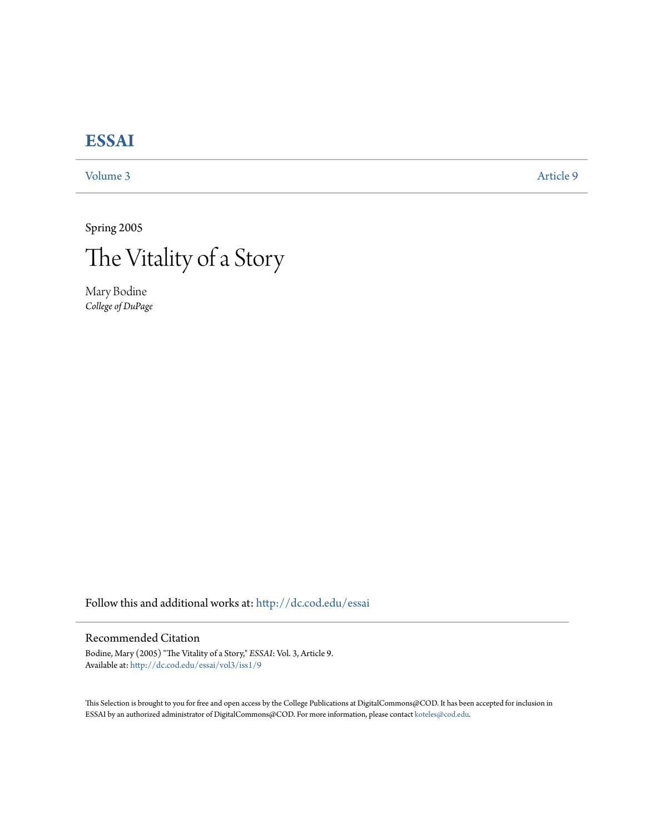## **[ESSAI](http://dc.cod.edu/essai?utm_source=dc.cod.edu%2Fessai%2Fvol3%2Fiss1%2F9&utm_medium=PDF&utm_campaign=PDFCoverPages)**

[Volume 3](http://dc.cod.edu/essai/vol3?utm_source=dc.cod.edu%2Fessai%2Fvol3%2Fiss1%2F9&utm_medium=PDF&utm_campaign=PDFCoverPages) [Article 9](http://dc.cod.edu/essai/vol3/iss1/9?utm_source=dc.cod.edu%2Fessai%2Fvol3%2Fiss1%2F9&utm_medium=PDF&utm_campaign=PDFCoverPages)

Spring 2005



Mary Bodine *College of DuPage*

Follow this and additional works at: [http://dc.cod.edu/essai](http://dc.cod.edu/essai?utm_source=dc.cod.edu%2Fessai%2Fvol3%2Fiss1%2F9&utm_medium=PDF&utm_campaign=PDFCoverPages)

## Recommended Citation

Bodine, Mary (2005) "The Vitality of a Story," *ESSAI*: Vol. 3, Article 9. Available at: [http://dc.cod.edu/essai/vol3/iss1/9](http://dc.cod.edu/essai/vol3/iss1/9?utm_source=dc.cod.edu%2Fessai%2Fvol3%2Fiss1%2F9&utm_medium=PDF&utm_campaign=PDFCoverPages)

This Selection is brought to you for free and open access by the College Publications at DigitalCommons@COD. It has been accepted for inclusion in ESSAI by an authorized administrator of DigitalCommons@COD. For more information, please contact [koteles@cod.edu](mailto:koteles@cod.edu).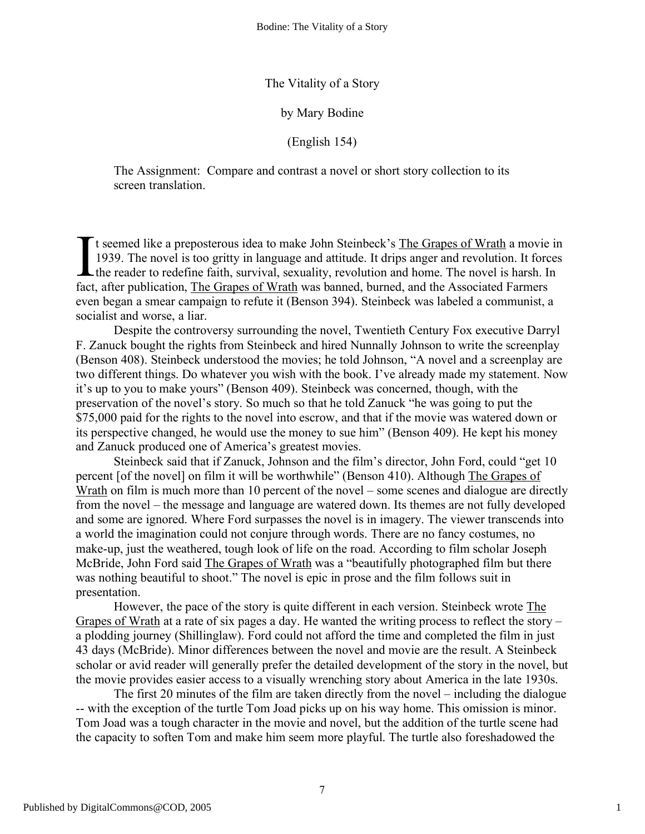The Vitality of a Story

by Mary Bodine

(English 154)

The Assignment: Compare and contrast a novel or short story collection to its screen translation.

If seemed like a preposterous idea to make John Steinbeck's The Grapes of Wrath a movie in 1939. The novel is too gritty in language and attitude. It drips anger and revolution. It forces the reader to redefine faith, survival, sexuality, revolution and home. The novel is harsh. In fact, after publication, The Grapes of Wrath was banned, burned, and the Associated Farmers even began a smear campaign to refute it (Benson 394). Steinbeck was labeled a communist, a socialist and worse, a liar. I

Despite the controversy surrounding the novel, Twentieth Century Fox executive Darryl F. Zanuck bought the rights from Steinbeck and hired Nunnally Johnson to write the screenplay (Benson 408). Steinbeck understood the movies; he told Johnson, "A novel and a screenplay are two different things. Do whatever you wish with the book. I've already made my statement. Now it's up to you to make yours" (Benson 409). Steinbeck was concerned, though, with the preservation of the novel's story. So much so that he told Zanuck "he was going to put the \$75,000 paid for the rights to the novel into escrow, and that if the movie was watered down or its perspective changed, he would use the money to sue him" (Benson 409). He kept his money and Zanuck produced one of America's greatest movies.

Steinbeck said that if Zanuck, Johnson and the film's director, John Ford, could "get 10 percent [of the novel] on film it will be worthwhile" (Benson 410). Although The Grapes of Wrath on film is much more than 10 percent of the novel – some scenes and dialogue are directly from the novel – the message and language are watered down. Its themes are not fully developed and some are ignored. Where Ford surpasses the novel is in imagery. The viewer transcends into a world the imagination could not conjure through words. There are no fancy costumes, no make-up, just the weathered, tough look of life on the road. According to film scholar Joseph McBride, John Ford said The Grapes of Wrath was a "beautifully photographed film but there was nothing beautiful to shoot." The novel is epic in prose and the film follows suit in presentation.

However, the pace of the story is quite different in each version. Steinbeck wrote The Grapes of Wrath at a rate of six pages a day. He wanted the writing process to reflect the story – a plodding journey (Shillinglaw). Ford could not afford the time and completed the film in just 43 days (McBride). Minor differences between the novel and movie are the result. A Steinbeck scholar or avid reader will generally prefer the detailed development of the story in the novel, but the movie provides easier access to a visually wrenching story about America in the late 1930s.

The first 20 minutes of the film are taken directly from the novel – including the dialogue -- with the exception of the turtle Tom Joad picks up on his way home. This omission is minor. Tom Joad was a tough character in the movie and novel, but the addition of the turtle scene had the capacity to soften Tom and make him seem more playful. The turtle also foreshadowed the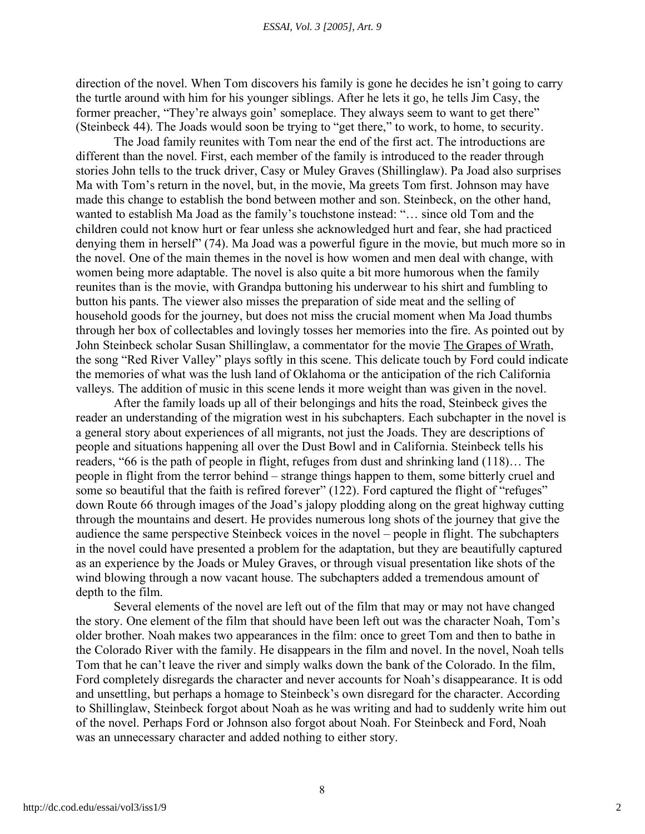direction of the novel. When Tom discovers his family is gone he decides he isn't going to carry the turtle around with him for his younger siblings. After he lets it go, he tells Jim Casy, the former preacher, "They're always goin' someplace. They always seem to want to get there" (Steinbeck 44). The Joads would soon be trying to "get there," to work, to home, to security.

The Joad family reunites with Tom near the end of the first act. The introductions are different than the novel. First, each member of the family is introduced to the reader through stories John tells to the truck driver, Casy or Muley Graves (Shillinglaw). Pa Joad also surprises Ma with Tom's return in the novel, but, in the movie, Ma greets Tom first. Johnson may have made this change to establish the bond between mother and son. Steinbeck, on the other hand, wanted to establish Ma Joad as the family's touchstone instead: "… since old Tom and the children could not know hurt or fear unless she acknowledged hurt and fear, she had practiced denying them in herself" (74). Ma Joad was a powerful figure in the movie, but much more so in the novel. One of the main themes in the novel is how women and men deal with change, with women being more adaptable. The novel is also quite a bit more humorous when the family reunites than is the movie, with Grandpa buttoning his underwear to his shirt and fumbling to button his pants. The viewer also misses the preparation of side meat and the selling of household goods for the journey, but does not miss the crucial moment when Ma Joad thumbs through her box of collectables and lovingly tosses her memories into the fire. As pointed out by John Steinbeck scholar Susan Shillinglaw, a commentator for the movie The Grapes of Wrath, the song "Red River Valley" plays softly in this scene. This delicate touch by Ford could indicate the memories of what was the lush land of Oklahoma or the anticipation of the rich California valleys. The addition of music in this scene lends it more weight than was given in the novel.

After the family loads up all of their belongings and hits the road, Steinbeck gives the reader an understanding of the migration west in his subchapters. Each subchapter in the novel is a general story about experiences of all migrants, not just the Joads. They are descriptions of people and situations happening all over the Dust Bowl and in California. Steinbeck tells his readers, "66 is the path of people in flight, refuges from dust and shrinking land (118)… The people in flight from the terror behind – strange things happen to them, some bitterly cruel and some so beautiful that the faith is refired forever" (122). Ford captured the flight of "refuges" down Route 66 through images of the Joad's jalopy plodding along on the great highway cutting through the mountains and desert. He provides numerous long shots of the journey that give the audience the same perspective Steinbeck voices in the novel – people in flight. The subchapters in the novel could have presented a problem for the adaptation, but they are beautifully captured as an experience by the Joads or Muley Graves, or through visual presentation like shots of the wind blowing through a now vacant house. The subchapters added a tremendous amount of depth to the film.

Several elements of the novel are left out of the film that may or may not have changed the story. One element of the film that should have been left out was the character Noah, Tom's older brother. Noah makes two appearances in the film: once to greet Tom and then to bathe in the Colorado River with the family. He disappears in the film and novel. In the novel, Noah tells Tom that he can't leave the river and simply walks down the bank of the Colorado. In the film, Ford completely disregards the character and never accounts for Noah's disappearance. It is odd and unsettling, but perhaps a homage to Steinbeck's own disregard for the character. According to Shillinglaw, Steinbeck forgot about Noah as he was writing and had to suddenly write him out of the novel. Perhaps Ford or Johnson also forgot about Noah. For Steinbeck and Ford, Noah was an unnecessary character and added nothing to either story.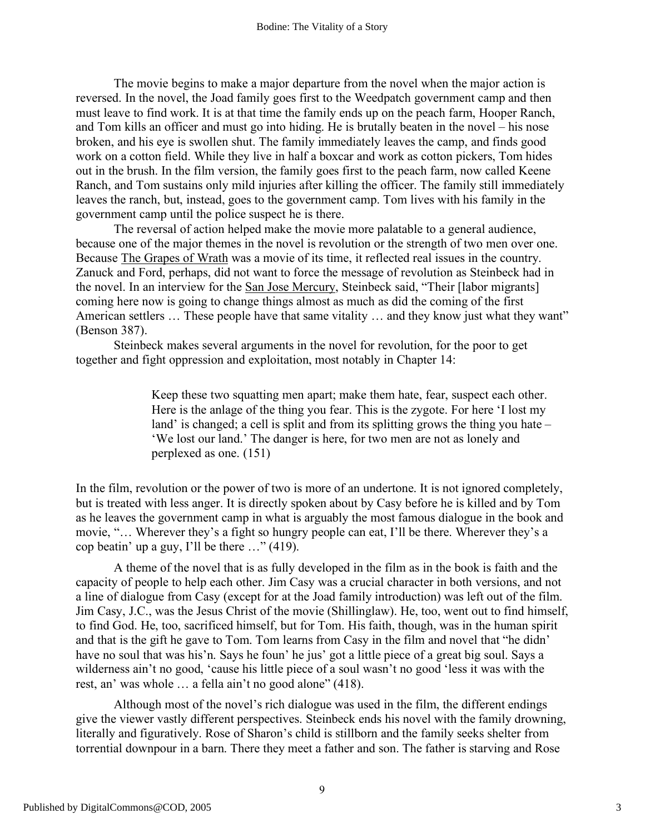The movie begins to make a major departure from the novel when the major action is reversed. In the novel, the Joad family goes first to the Weedpatch government camp and then must leave to find work. It is at that time the family ends up on the peach farm, Hooper Ranch, and Tom kills an officer and must go into hiding. He is brutally beaten in the novel – his nose broken, and his eye is swollen shut. The family immediately leaves the camp, and finds good work on a cotton field. While they live in half a boxcar and work as cotton pickers, Tom hides out in the brush. In the film version, the family goes first to the peach farm, now called Keene Ranch, and Tom sustains only mild injuries after killing the officer. The family still immediately leaves the ranch, but, instead, goes to the government camp. Tom lives with his family in the government camp until the police suspect he is there.

The reversal of action helped make the movie more palatable to a general audience, because one of the major themes in the novel is revolution or the strength of two men over one. Because The Grapes of Wrath was a movie of its time, it reflected real issues in the country. Zanuck and Ford, perhaps, did not want to force the message of revolution as Steinbeck had in the novel. In an interview for the San Jose Mercury, Steinbeck said, "Their [labor migrants] coming here now is going to change things almost as much as did the coming of the first American settlers ... These people have that same vitality ... and they know just what they want" (Benson 387).

Steinbeck makes several arguments in the novel for revolution, for the poor to get together and fight oppression and exploitation, most notably in Chapter 14:

> Keep these two squatting men apart; make them hate, fear, suspect each other. Here is the anlage of the thing you fear. This is the zygote. For here 'I lost my land' is changed; a cell is split and from its splitting grows the thing you hate – 'We lost our land.' The danger is here, for two men are not as lonely and perplexed as one. (151)

In the film, revolution or the power of two is more of an undertone. It is not ignored completely, but is treated with less anger. It is directly spoken about by Casy before he is killed and by Tom as he leaves the government camp in what is arguably the most famous dialogue in the book and movie, "… Wherever they's a fight so hungry people can eat, I'll be there. Wherever they's a cop beatin' up a guy, I'll be there …" (419).

A theme of the novel that is as fully developed in the film as in the book is faith and the capacity of people to help each other. Jim Casy was a crucial character in both versions, and not a line of dialogue from Casy (except for at the Joad family introduction) was left out of the film. Jim Casy, J.C., was the Jesus Christ of the movie (Shillinglaw). He, too, went out to find himself, to find God. He, too, sacrificed himself, but for Tom. His faith, though, was in the human spirit and that is the gift he gave to Tom. Tom learns from Casy in the film and novel that "he didn' have no soul that was his'n. Says he foun' he jus' got a little piece of a great big soul. Says a wilderness ain't no good, 'cause his little piece of a soul wasn't no good 'less it was with the rest, an' was whole … a fella ain't no good alone" (418).

Although most of the novel's rich dialogue was used in the film, the different endings give the viewer vastly different perspectives. Steinbeck ends his novel with the family drowning, literally and figuratively. Rose of Sharon's child is stillborn and the family seeks shelter from torrential downpour in a barn. There they meet a father and son. The father is starving and Rose